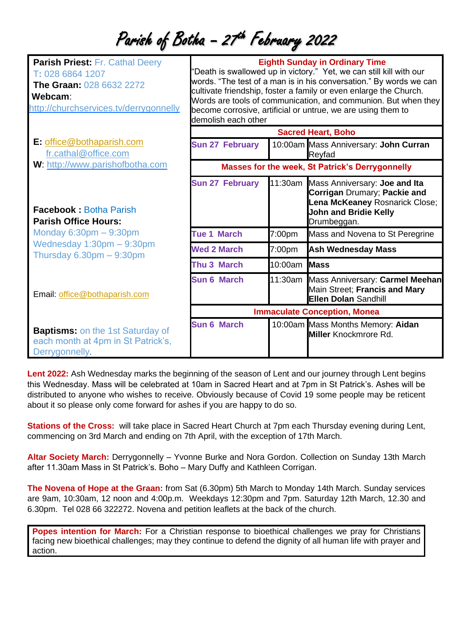## Parish of Botha - 27<sup>th</sup> February 2022

| <b>Parish Priest: Fr. Cathal Deery</b><br>T: 028 6864 1207<br><b>The Graan: 028 6632 2272</b><br>Webcam:<br>http://churchservices.tv/derrygonnelly | <b>Eighth Sunday in Ordinary Time</b><br>"Death is swallowed up in victory." Yet, we can still kill with our<br>words. "The test of a man is in his conversation." By words we can<br>cultivate friendship, foster a family or even enlarge the Church.<br>Words are tools of communication, and communion. But when they<br>become corrosive, artificial or untrue, we are using them to<br>demolish each other |                 |                                                                                                                                                        |
|----------------------------------------------------------------------------------------------------------------------------------------------------|------------------------------------------------------------------------------------------------------------------------------------------------------------------------------------------------------------------------------------------------------------------------------------------------------------------------------------------------------------------------------------------------------------------|-----------------|--------------------------------------------------------------------------------------------------------------------------------------------------------|
|                                                                                                                                                    | <b>Sacred Heart, Boho</b>                                                                                                                                                                                                                                                                                                                                                                                        |                 |                                                                                                                                                        |
| E: office@bothaparish.com<br>fr.cathal@office.com                                                                                                  | <b>Sun 27 February</b>                                                                                                                                                                                                                                                                                                                                                                                           |                 | 10:00am Mass Anniversary: John Curran<br>Reyfad                                                                                                        |
| W: http://www.parishofbotha.com                                                                                                                    | <b>Masses for the week, St Patrick's Derrygonnelly</b>                                                                                                                                                                                                                                                                                                                                                           |                 |                                                                                                                                                        |
| <b>Facebook: Botha Parish</b><br><b>Parish Office Hours:</b>                                                                                       | <b>Sun 27 February</b>                                                                                                                                                                                                                                                                                                                                                                                           |                 | 11:30am Mass Anniversary: Joe and Ita<br>Corrigan Drumary; Packie and<br>Lena McKeaney Rosnarick Close;<br><b>John and Bridie Kelly</b><br>Drumbeggan. |
| Monday $6:30$ pm $-9:30$ pm                                                                                                                        | <b>Tue 1 March</b>                                                                                                                                                                                                                                                                                                                                                                                               | 7:00pm          | Mass and Novena to St Peregrine                                                                                                                        |
| Wednesday 1:30pm - 9:30pm<br>Thursday $6.30 \text{pm} - 9:30 \text{pm}$                                                                            | <b>Wed 2 March</b>                                                                                                                                                                                                                                                                                                                                                                                               | 7:00pm          | <b>Ash Wednesday Mass</b>                                                                                                                              |
|                                                                                                                                                    | Thu 3 March                                                                                                                                                                                                                                                                                                                                                                                                      | $10:00$ am Mass |                                                                                                                                                        |
| Email: office@bothaparish.com                                                                                                                      | <b>Sun 6 March</b>                                                                                                                                                                                                                                                                                                                                                                                               |                 | 11:30am Mass Anniversary: Carmel Meehan<br>Main Street; Francis and Mary<br><b>Ellen Dolan Sandhill</b>                                                |
|                                                                                                                                                    | <b>Immaculate Conception, Monea</b>                                                                                                                                                                                                                                                                                                                                                                              |                 |                                                                                                                                                        |
| <b>Baptisms:</b> on the 1st Saturday of<br>each month at 4pm in St Patrick's,<br>Derrygonnelly.                                                    | <b>Sun 6 March</b>                                                                                                                                                                                                                                                                                                                                                                                               |                 | 10:00am Mass Months Memory: Aidan<br><b>Miller</b> Knockmrore Rd.                                                                                      |

**Lent 2022:** Ash Wednesday marks the beginning of the season of Lent and our journey through Lent begins this Wednesday. Mass will be celebrated at 10am in Sacred Heart and at 7pm in St Patrick's. Ashes will be distributed to anyone who wishes to receive. Obviously because of Covid 19 some people may be reticent about it so please only come forward for ashes if you are happy to do so.

**Stations of the Cross:** will take place in Sacred Heart Church at 7pm each Thursday evening during Lent, commencing on 3rd March and ending on 7th April, with the exception of 17th March.

**Altar Society March:** Derrygonnelly – Yvonne Burke and Nora Gordon. Collection on Sunday 13th March after 11.30am Mass in St Patrick's. Boho – Mary Duffy and Kathleen Corrigan.

**The Novena of Hope at the Graan:** from Sat (6.30pm) 5th March to Monday 14th March. Sunday services are 9am, 10:30am, 12 noon and 4:00p.m. Weekdays 12:30pm and 7pm. Saturday 12th March, 12.30 and 6.30pm. Tel 028 66 322272. Novena and petition leaflets at the back of the church.

**Popes intention for March:** For a Christian response to bioethical challenges we pray for Christians facing new bioethical challenges; may they continue to defend the dignity of all human life with prayer and action.